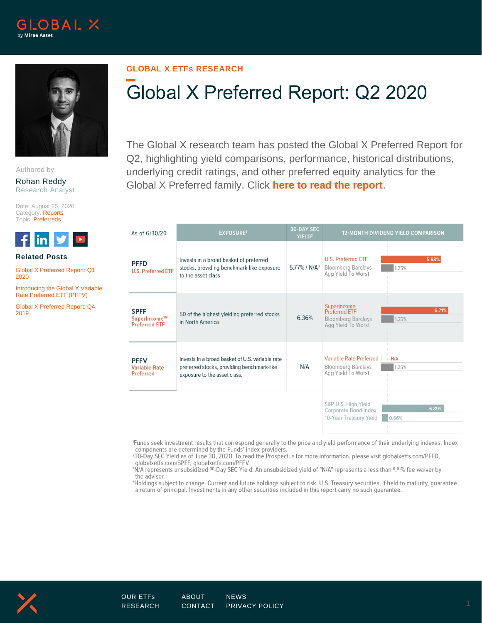



Authored by:

Rohan Reddy Research Analyst

Date: August 25, 2020 Category: Reports Topic: Preferreds



## **Related Posts**

[Global X Preferred Report: Q1](https://www.globalxetfs.com/global-x-preferred-report-q1-2020/)  [2020](https://www.globalxetfs.com/global-x-preferred-report-q1-2020/)

[Introducing the Global X Variable](https://www.globalxetfs.com/introducing-the-global-x-variable-rate-preferred-etf-pffv/)  [Rate Preferred ETF \(PFFV\)](https://www.globalxetfs.com/introducing-the-global-x-variable-rate-preferred-etf-pffv/)

[Global X Preferred Report: Q4](https://www.globalxetfs.com/global-x-preferred-report-q4-2019/)  [2019](https://www.globalxetfs.com/global-x-preferred-report-q4-2019/)

## **GLOBAL X ETFs RESEARCH**

## Global X Preferred Report: Q2 2020

The Global X research team has posted the Global X Preferred Report for Q2, highlighting yield comparisons, performance, historical distributions, underlying credit ratings, and other preferred equity analytics for the Global X Preferred family. Click **[here to read the report](https://www.globalxetfs.com/content/files/Global-X-Preferred-Report-Q2-2020.pdf)**.

| As of 6/30/20                                           | <b>EXPOSURE1</b>                                                                                                              | <b>30-DAY SEC</b><br>YIELD <sup>2</sup> | <b>12-MONTH DIVIDEND YIELD COMPARISON</b>                                                                             |  |  |
|---------------------------------------------------------|-------------------------------------------------------------------------------------------------------------------------------|-----------------------------------------|-----------------------------------------------------------------------------------------------------------------------|--|--|
| <b>PFFD</b><br><b>U.S. Preferred ETF</b>                | Invests in a broad basket of preferred<br>stocks, providing benchmark like exposure<br>to the asset class.                    | $5.77\%$ / N/A <sup>3</sup>             | <b>U.S. Preferred ETF</b><br>5.98%<br><b>Bloomberg Barclays</b><br>1.25%<br>Agg Yield To Worst                        |  |  |
| <b>SPFF</b><br>SuperIncome™<br><b>Preferred ETF</b>     | 50 of the highest yielding preferred stocks<br>in North America                                                               | 6.36%                                   | SuperIncome<br>6.71%<br>Preferred ETF<br><b>Bloomberg Barclays</b><br>1.25%<br>Agg Yield To Worst                     |  |  |
| <b>PFFV</b><br><b>Variable Rate</b><br><b>Preferred</b> | Invests in a broad basket of U.S. variable rate<br>preferred stocks, providing benchmark-like<br>exposure to the asset class. | N/A                                     | <b>Variable Rate Preferred</b><br>$\mathsf{N}/\mathsf{A}$<br><b>Bloomberg Barclays</b><br>1.25%<br>Agg Yield To Worst |  |  |
|                                                         |                                                                                                                               |                                         | S&P U.S. High Yield<br>6.89%<br><b>Corporate Bond Index</b><br>10-Year Treasury Yield<br>0.66%                        |  |  |

1Funds seek investment results that correspond generally to the price and yield performance of their underlying indexes. Index components are determined by the Funds' index providers.

<sup>2</sup>30-Day SEC Yield as of June 30, 2020. To read the Prospectus for more information, please visit globalxetfs.com/PFFD, globalxetfs.com/SPFF, globalxetfs.com/PFFV.

<sup>3</sup>N/A represents unsubsidized <sup>30</sup>-Day SEC Yield. An unsubsidized yield of "N/A" represents a less than 0.01% fee waiver by the advisor.

\*Holdings subject to change. Current and future holdings subject to risk. U.S. Treasury securities, if held to maturity, guarantee a return of principal. Investments in any other securities included in this report carry no such guarantee.

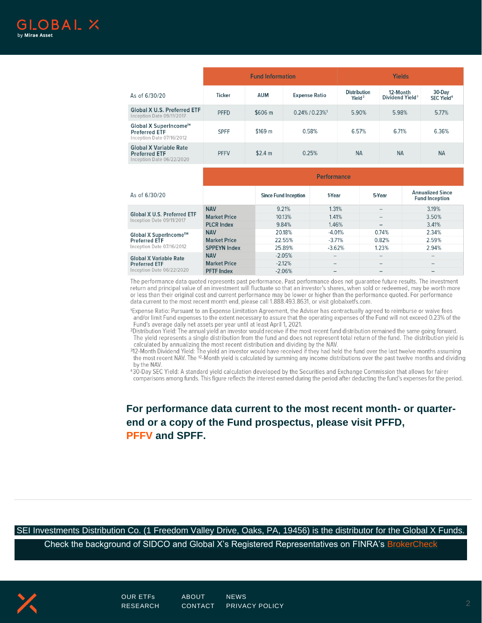|                                                                                        | <b>Fund Information</b> |            |                                  | Yields                                    |                                         |                                  |  |
|----------------------------------------------------------------------------------------|-------------------------|------------|----------------------------------|-------------------------------------------|-----------------------------------------|----------------------------------|--|
| As of 6/30/20                                                                          | <b>Ticker</b>           | <b>AUM</b> | <b>Expense Ratio</b>             | <b>Distribution</b><br>Yield <sup>2</sup> | 12-Month<br>Dividend Yield <sup>3</sup> | 30-Day<br>SEC Yield <sup>4</sup> |  |
| <b>Global X U.S. Preferred ETF</b><br>Inception Date 09/11/2017                        | <b>PFFD</b>             | \$606 m    | $0.24\%$ / $0.23\%$ <sup>1</sup> | 5.90%                                     | 5.98%                                   | 5.77%                            |  |
| Global X SuperIncome <sup>™</sup><br><b>Preferred ETF</b><br>Inception Date 07/16/2012 | <b>SPFF</b>             | \$169 m    | 0.58%                            | 6.57%                                     | 6.71%                                   | 6.36%                            |  |
| <b>Global X Variable Rate</b><br><b>Preferred ETF</b><br>Inception Date 06/22/2020     | <b>PFFV</b>             | \$2.4 m    | 0.25%                            | <b>NA</b>                                 | <b>NA</b>                               | <b>NA</b>                        |  |

|                                                                 | <b>Performance</b>  |                             |          |                              |                                                  |  |  |
|-----------------------------------------------------------------|---------------------|-----------------------------|----------|------------------------------|--------------------------------------------------|--|--|
| As of 6/30/20                                                   |                     | <b>Since Fund Inception</b> | 1-Year   | 5-Year                       | <b>Annualized Since</b><br><b>Fund Inception</b> |  |  |
| <b>Global X U.S. Preferred ETF</b><br>Inception Date 09/11/2017 | <b>NAV</b>          | 9.21%                       | 1.31%    |                              | 3.19%                                            |  |  |
|                                                                 | <b>Market Price</b> | 10.13%                      | 1.41%    |                              | 3.50%                                            |  |  |
|                                                                 | <b>PLCR Index</b>   | 9.84%                       | 1.46%    |                              | 3.41%                                            |  |  |
| Global X SuperIncome™                                           | <b>NAV</b>          | 20.18%                      | $-4.01%$ | 0.74%                        | 2.34%                                            |  |  |
| <b>Preferred ETF</b>                                            | <b>Market Price</b> | 22.55%                      | $-3.71%$ | 0.82%                        | 2.59%                                            |  |  |
| Inception Date 07/16/2012                                       | <b>SPPEYN Index</b> | 25.89%                      | $-3.62%$ | 1.23%                        | 2.94%                                            |  |  |
| <b>Global X Variable Rate</b>                                   | <b>NAV</b>          | $-2.05%$                    |          | $\qquad \qquad$              | -                                                |  |  |
| <b>Preferred ETF</b>                                            | <b>Market Price</b> | $-2.12%$                    |          | $-$                          |                                                  |  |  |
| Inception Date 06/22/2020                                       | <b>PFTF Index</b>   | $-2.06%$                    |          | $\qquad \qquad \blacksquare$ |                                                  |  |  |

The performance data quoted represents past performance. Past performance does not guarantee future results. The investment return and principal value of an investment will fluctuate so that an investor's shares, when sold or redeemed, may be worth more or less than their original cost and current performance may be lower or higher than the performance quoted. For performance data current to the most recent month end, please call 1.888.493.8631, or visit globalxetfs.com.

1Expense Ratio: Pursuant to an Expense Limitation Agreement, the Adviser has contractually agreed to reimburse or waive fees and/or limit Fund expenses to the extent necessary to assure that the operating expenses of the Fund will not exceed 0.23% of the Fund's average daily net assets per year until at least April 1, 2021.

<sup>2</sup>Distribution Yield: The annual yield an investor would receive if the most recent fund distribution remained the same going forward. The yield represents a single distribution from the fund and does not represent total return of the fund. The distribution yield is calculated by annualizing the most recent distribution and dividing by the NAV.

312-Month Dividend Yield: The yield an investor would have received if they had held the fund over the last twelve months assuming the most recent NAV. The <sup>12</sup>-Month yield is calculated by summing any income distributions over the past twelve months and dividing by the NAV.

430-Day SEC Yield: A standard yield calculation developed by the Securities and Exchange Commission that allows for fairer comparisons among funds. This figure reflects the interest earned during the period after deducting the fund's expenses for the period.

**For performance data current to the most recent month- or quarterend or a copy of the Fund prospectus, please visit [PFFD,](https://www.globalxfunds.com/funds/pffd/) [PFFV](https://www.globalxetfs.com/funds/pffv/) and [SPFF.](https://www.globalxfunds.com/funds/spff/)**

SEI Investments Distribution Co. (1 Freedom Valley Drive, Oaks, PA, 19456) is the distributor for the Global X Funds.

Check the background of SIDCO and Global X's Registered Representatives on FINRA's [BrokerCheck](http://brokercheck.finra.org/)